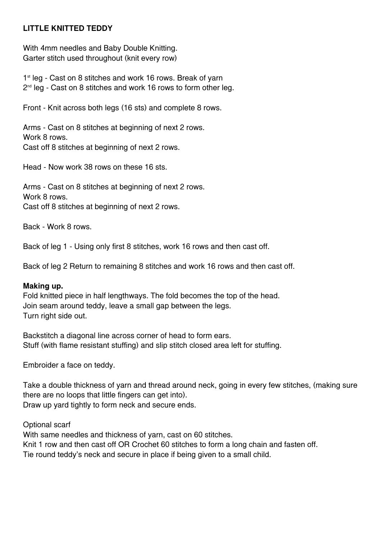## **LITTLE KNITTED TEDDY**

With 4mm needles and Baby Double Knitting. Garter stitch used throughout (knit every row)

1<sup>st</sup> leg - Cast on 8 stitches and work 16 rows. Break of yarn  $2<sup>nd</sup>$  leg - Cast on 8 stitches and work 16 rows to form other leg.

Front - Knit across both legs (16 sts) and complete 8 rows.

Arms - Cast on 8 stitches at beginning of next 2 rows. Work 8 rows. Cast off 8 stitches at beginning of next 2 rows.

Head - Now work 38 rows on these 16 sts.

Arms - Cast on 8 stitches at beginning of next 2 rows. Work 8 rows. Cast off 8 stitches at beginning of next 2 rows.

Back - Work 8 rows.

Back of leg 1 - Using only first 8 stitches, work 16 rows and then cast off.

Back of leg 2 Return to remaining 8 stitches and work 16 rows and then cast off.

## **Making up.**

Fold knitted piece in half lengthways. The fold becomes the top of the head. Join seam around teddy, leave a small gap between the legs. Turn right side out.

Backstitch a diagonal line across corner of head to form ears. Stuff (with flame resistant stuffing) and slip stitch closed area left for stuffing.

Embroider a face on teddy.

Take a double thickness of yarn and thread around neck, going in every few stitches, (making sure there are no loops that little fingers can get into). Draw up yard tightly to form neck and secure ends.

Optional scarf

With same needles and thickness of yarn, cast on 60 stitches. Knit 1 row and then cast off OR Crochet 60 stitches to form a long chain and fasten off. Tie round teddy's neck and secure in place if being given to a small child.